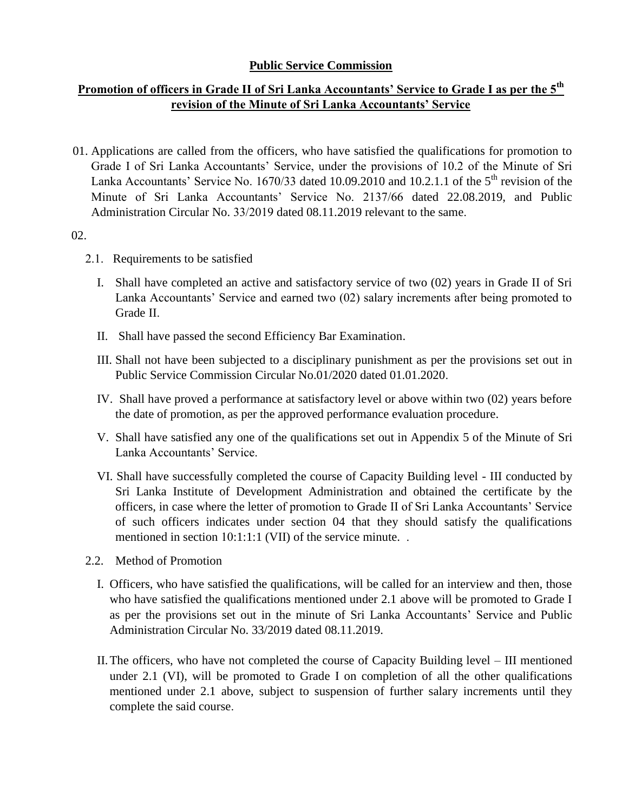## **Public Service Commission**

## **Promotion of officers in Grade II of Sri Lanka Accountants' Service to Grade I as per the 5th revision of the Minute of Sri Lanka Accountants' Service**

01. Applications are called from the officers, who have satisfied the qualifications for promotion to Grade I of Sri Lanka Accountants' Service, under the provisions of 10.2 of the Minute of Sri Lanka Accountants' Service No. 1670/33 dated 10.09.2010 and 10.2.1.1 of the  $5<sup>th</sup>$  revision of the Minute of Sri Lanka Accountants' Service No. 2137/66 dated 22.08.2019, and Public Administration Circular No. 33/2019 dated 08.11.2019 relevant to the same.

02.

- 2.1. Requirements to be satisfied
	- I. Shall have completed an active and satisfactory service of two (02) years in Grade II of Sri Lanka Accountants' Service and earned two (02) salary increments after being promoted to Grade II.
	- II. Shall have passed the second Efficiency Bar Examination.
	- III. Shall not have been subjected to a disciplinary punishment as per the provisions set out in Public Service Commission Circular No.01/2020 dated 01.01.2020.
	- IV. Shall have proved a performance at satisfactory level or above within two (02) years before the date of promotion, as per the approved performance evaluation procedure.
	- V. Shall have satisfied any one of the qualifications set out in Appendix 5 of the Minute of Sri Lanka Accountants' Service.
	- VI. Shall have successfully completed the course of Capacity Building level III conducted by Sri Lanka Institute of Development Administration and obtained the certificate by the officers, in case where the letter of promotion to Grade II of Sri Lanka Accountants' Service of such officers indicates under section 04 that they should satisfy the qualifications mentioned in section 10:1:1:1 (VII) of the service minute. .
- 2.2. Method of Promotion
	- I. Officers, who have satisfied the qualifications, will be called for an interview and then, those who have satisfied the qualifications mentioned under 2.1 above will be promoted to Grade I as per the provisions set out in the minute of Sri Lanka Accountants' Service and Public Administration Circular No. 33/2019 dated 08.11.2019.
	- II.The officers, who have not completed the course of Capacity Building level III mentioned under 2.1 (VI), will be promoted to Grade I on completion of all the other qualifications mentioned under 2.1 above, subject to suspension of further salary increments until they complete the said course.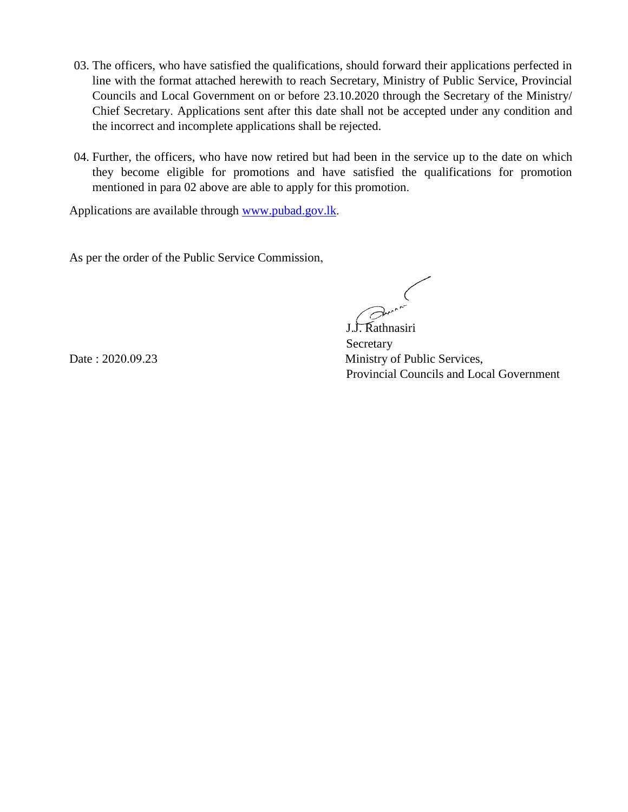- 03. The officers, who have satisfied the qualifications, should forward their applications perfected in line with the format attached herewith to reach Secretary, Ministry of Public Service, Provincial Councils and Local Government on or before 23.10.2020 through the Secretary of the Ministry/ Chief Secretary. Applications sent after this date shall not be accepted under any condition and the incorrect and incomplete applications shall be rejected.
- 04. Further, the officers, who have now retired but had been in the service up to the date on which they become eligible for promotions and have satisfied the qualifications for promotion mentioned in para 02 above are able to apply for this promotion.

Applications are available through [www.pubad.gov.lk.](www.pubad.gov.lk)

As per the order of the Public Service Commission,

 J.J. Rathnasiri Secretary Date : 2020.09.23 Ministry of Public Services, Provincial Councils and Local Government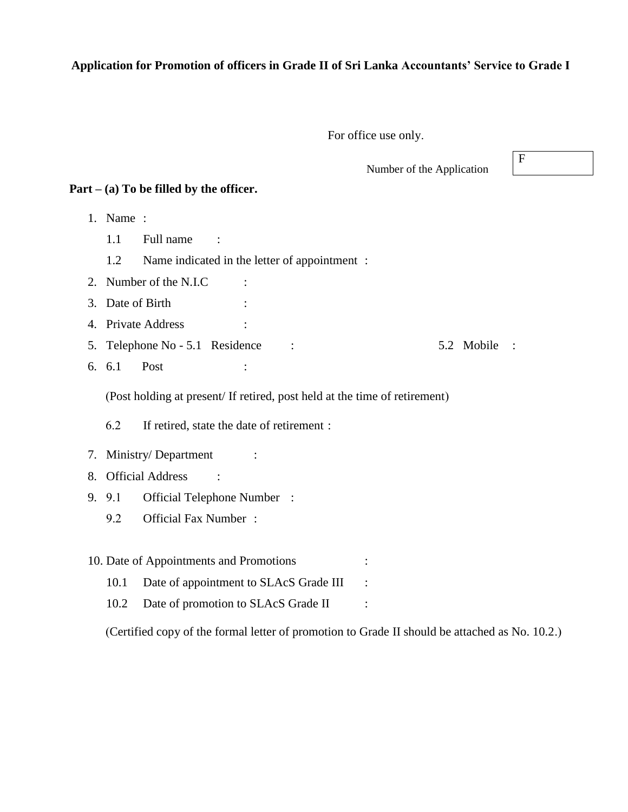## **Application for Promotion of officers in Grade II of Sri Lanka Accountants' Service to Grade I**

For office use only.

Number of the Application

 $\mathbf F$ 

#### **Part – (a) To be filled by the officer.**

1. Name :

1.1 Full name :

1.2 Name indicated in the letter of appointment :

2. Number of the N.I.C :

- 3. Date of Birth :
- 4. Private Address :
- 5. Telephone No 5.1 Residence : 5.2 Mobile :
- 6. 6.1 Post :

(Post holding at present/ If retired, post held at the time of retirement)

6.2 If retired, state the date of retirement :

#### 7. Ministry/Department :

- 8. Official Address :
- 9. 9.1 Official Telephone Number :
	- 9.2 Official Fax Number :
- 10. Date of Appointments and Promotions :
	- 10.1 Date of appointment to SLAcS Grade III :
	- 10.2 Date of promotion to SLAcS Grade II :

(Certified copy of the formal letter of promotion to Grade II should be attached as No. 10.2.)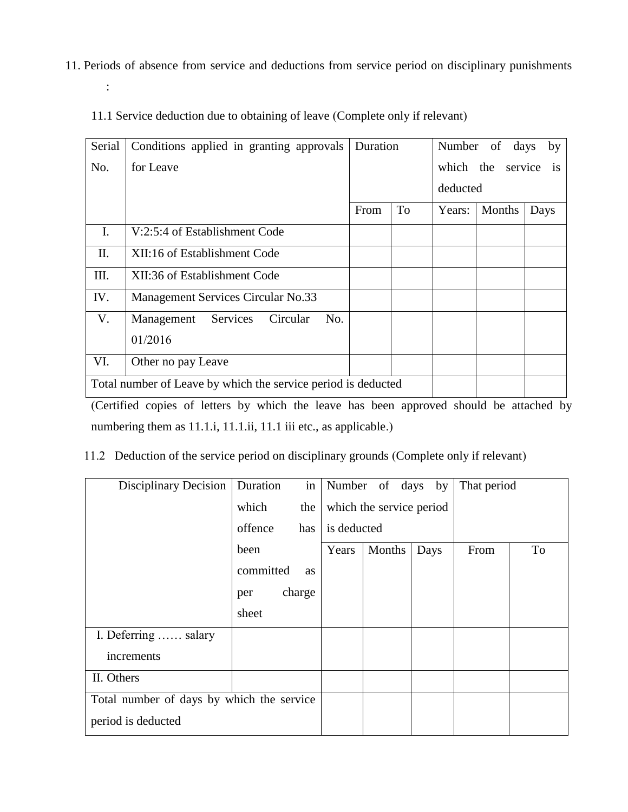11. Periods of absence from service and deductions from service period on disciplinary punishments

| Serial                                                                                                                                                                                                                             | Conditions applied in granting approvals                      | Duration |    |          | Number of days by    |      |
|------------------------------------------------------------------------------------------------------------------------------------------------------------------------------------------------------------------------------------|---------------------------------------------------------------|----------|----|----------|----------------------|------|
| No.                                                                                                                                                                                                                                | for Leave                                                     |          |    |          | which the service is |      |
|                                                                                                                                                                                                                                    |                                                               |          |    | deducted |                      |      |
|                                                                                                                                                                                                                                    |                                                               | From     | To | Years:   | Months               | Days |
| $\mathbf{I}$ .                                                                                                                                                                                                                     | V:2:5:4 of Establishment Code                                 |          |    |          |                      |      |
| П.                                                                                                                                                                                                                                 | XII:16 of Establishment Code                                  |          |    |          |                      |      |
| III.                                                                                                                                                                                                                               | XII:36 of Establishment Code                                  |          |    |          |                      |      |
| IV.                                                                                                                                                                                                                                | Management Services Circular No.33                            |          |    |          |                      |      |
| V.                                                                                                                                                                                                                                 | Management<br>Services<br>No.<br>Circular                     |          |    |          |                      |      |
|                                                                                                                                                                                                                                    | 01/2016                                                       |          |    |          |                      |      |
| VI.                                                                                                                                                                                                                                | Other no pay Leave                                            |          |    |          |                      |      |
|                                                                                                                                                                                                                                    | Total number of Leave by which the service period is deducted |          |    |          |                      |      |
| $O$ at $\mathcal{C}$ of the second contract the second contract of the second contract of the second of the second of the second of the second second second second second second second second second second second second second |                                                               |          |    |          |                      |      |

11.1 Service deduction due to obtaining of leave (Complete only if relevant)

:

(Certified copies of letters by which the leave has been approved should be attached by numbering them as 11.1.i, 11.1.ii, 11.1 iii etc., as applicable.)

# 11.2 Deduction of the service period on disciplinary grounds (Complete only if relevant)

| <b>Disciplinary Decision</b>              | Duration  | in     |                          | Number of days by |      | That period |    |
|-------------------------------------------|-----------|--------|--------------------------|-------------------|------|-------------|----|
|                                           | which     | the    | which the service period |                   |      |             |    |
|                                           | offence   | has    | is deducted              |                   |      |             |    |
|                                           | been      |        | Years                    | Months            | Days | From        | To |
|                                           | committed | as     |                          |                   |      |             |    |
|                                           | per       | charge |                          |                   |      |             |    |
|                                           | sheet     |        |                          |                   |      |             |    |
| I. Deferring  salary                      |           |        |                          |                   |      |             |    |
| increments                                |           |        |                          |                   |      |             |    |
| II. Others                                |           |        |                          |                   |      |             |    |
| Total number of days by which the service |           |        |                          |                   |      |             |    |
| period is deducted                        |           |        |                          |                   |      |             |    |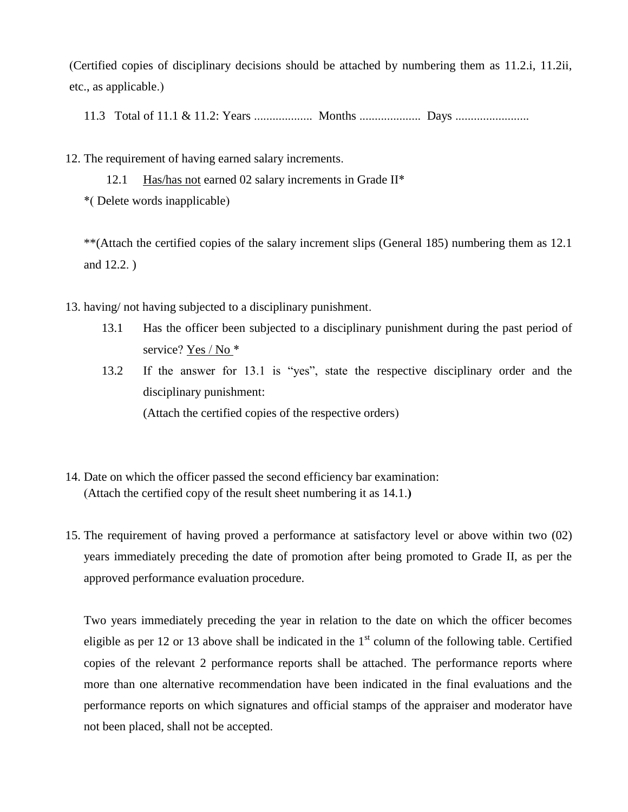(Certified copies of disciplinary decisions should be attached by numbering them as 11.2.i, 11.2ii, etc., as applicable.)

11.3 Total of 11.1 & 11.2: Years ................... Months .................... Days ........................

12. The requirement of having earned salary increments.

12.1 Has/has not earned 02 salary increments in Grade II\* \*( Delete words inapplicable)

\*\*(Attach the certified copies of the salary increment slips (General 185) numbering them as 12.1 and 12.2. )

13. having/ not having subjected to a disciplinary punishment.

- 13.1 Has the officer been subjected to a disciplinary punishment during the past period of service? Yes / No \*
- 13.2 If the answer for 13.1 is "yes", state the respective disciplinary order and the disciplinary punishment: (Attach the certified copies of the respective orders)
- 14. Date on which the officer passed the second efficiency bar examination: (Attach the certified copy of the result sheet numbering it as 14.1.**)**
- 15. The requirement of having proved a performance at satisfactory level or above within two (02) years immediately preceding the date of promotion after being promoted to Grade II, as per the approved performance evaluation procedure.

Two years immediately preceding the year in relation to the date on which the officer becomes eligible as per 12 or 13 above shall be indicated in the  $1<sup>st</sup>$  column of the following table. Certified copies of the relevant 2 performance reports shall be attached. The performance reports where more than one alternative recommendation have been indicated in the final evaluations and the performance reports on which signatures and official stamps of the appraiser and moderator have not been placed, shall not be accepted.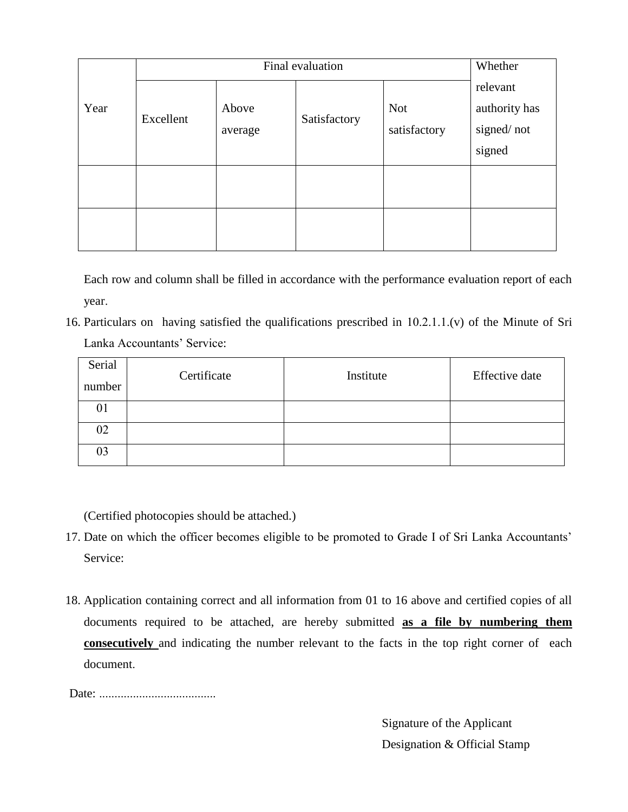|      |                               | Whether |              |                            |                                                   |  |
|------|-------------------------------|---------|--------------|----------------------------|---------------------------------------------------|--|
| Year | Above<br>Excellent<br>average |         | Satisfactory | <b>Not</b><br>satisfactory | relevant<br>authority has<br>signed/not<br>signed |  |
|      |                               |         |              |                            |                                                   |  |
|      |                               |         |              |                            |                                                   |  |

Each row and column shall be filled in accordance with the performance evaluation report of each year.

16. Particulars on having satisfied the qualifications prescribed in 10.2.1.1.(v) of the Minute of Sri Lanka Accountants' Service:

| Serial<br>number | Certificate | Institute | Effective date |
|------------------|-------------|-----------|----------------|
| 01               |             |           |                |
| 02               |             |           |                |
| 03               |             |           |                |

(Certified photocopies should be attached.)

- 17. Date on which the officer becomes eligible to be promoted to Grade I of Sri Lanka Accountants' Service:
- 18. Application containing correct and all information from 01 to 16 above and certified copies of all documents required to be attached, are hereby submitted **as a file by numbering them consecutively** and indicating the number relevant to the facts in the top right corner of each document.

Date: ......................................

Signature of the Applicant Designation & Official Stamp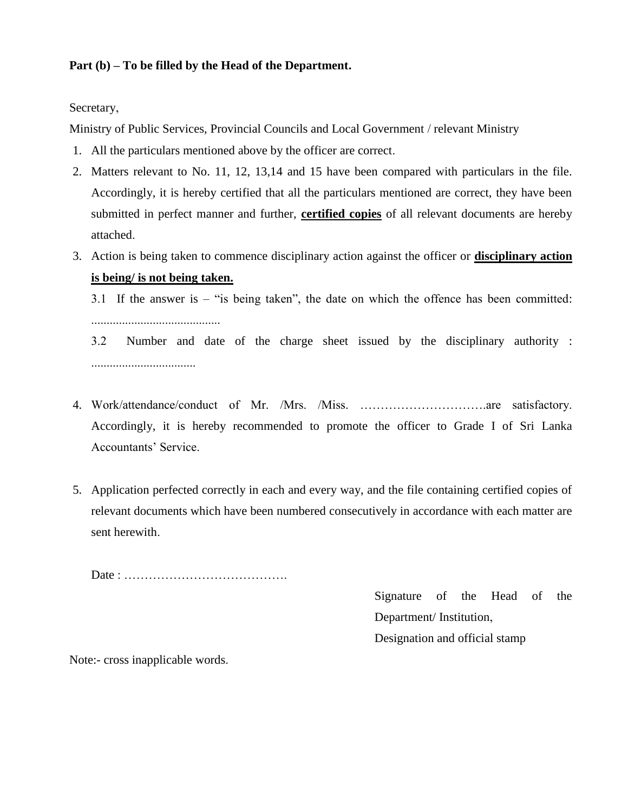## **Part (b) – To be filled by the Head of the Department.**

Secretary,

Ministry of Public Services, Provincial Councils and Local Government / relevant Ministry

- 1. All the particulars mentioned above by the officer are correct.
- 2. Matters relevant to No. 11, 12, 13,14 and 15 have been compared with particulars in the file. Accordingly, it is hereby certified that all the particulars mentioned are correct, they have been submitted in perfect manner and further, **certified copies** of all relevant documents are hereby attached.
- 3. Action is being taken to commence disciplinary action against the officer or **disciplinary action is being/ is not being taken.**

3.1 If the answer is – "is being taken", the date on which the offence has been committed:

..........................................

3.2 Number and date of the charge sheet issued by the disciplinary authority : ..................................

- 4. Work/attendance/conduct of Mr. /Mrs. /Miss. ………………………….are satisfactory. Accordingly, it is hereby recommended to promote the officer to Grade I of Sri Lanka Accountants' Service.
- 5. Application perfected correctly in each and every way, and the file containing certified copies of relevant documents which have been numbered consecutively in accordance with each matter are sent herewith.

Date : ………………………………….

Signature of the Head of the Department/ Institution, Designation and official stamp

Note:- cross inapplicable words.